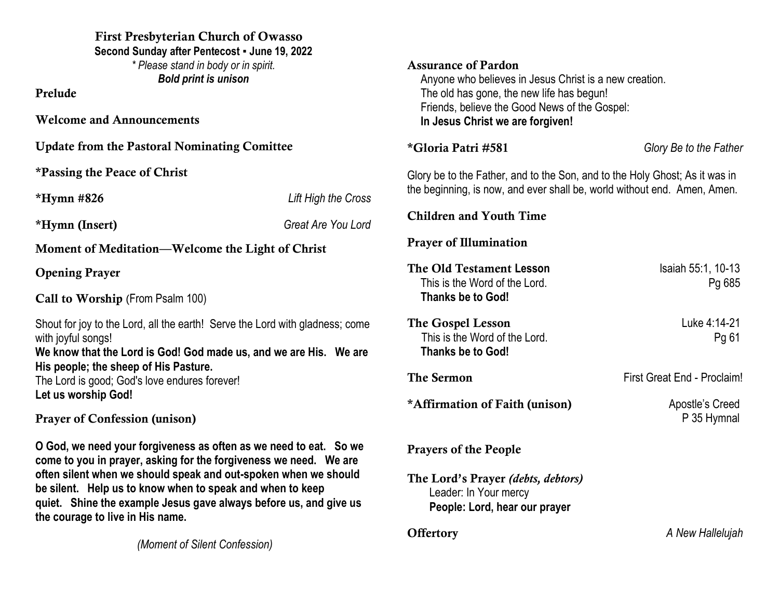| <b>First Presbyterian Church of Owasso</b><br>Second Sunday after Pentecost - June 19, 2022<br>* Please stand in body or in spirit.<br><b>Bold print is unison</b><br>Prelude<br><b>Welcome and Announcements</b>                                                                                                                                                               |                           | <b>Assurance of Pardon</b><br>Anyone who believes in Jesus Christ is a new creation.<br>The old has gone, the new life has begun!<br>Friends, believe the Good News of the Gospel:<br>In Jesus Christ we are forgiven! |                                |
|---------------------------------------------------------------------------------------------------------------------------------------------------------------------------------------------------------------------------------------------------------------------------------------------------------------------------------------------------------------------------------|---------------------------|------------------------------------------------------------------------------------------------------------------------------------------------------------------------------------------------------------------------|--------------------------------|
| <b>Update from the Pastoral Nominating Comittee</b>                                                                                                                                                                                                                                                                                                                             |                           | *Gloria Patri #581                                                                                                                                                                                                     | Glory Be to the Father         |
| <i>*Passing the Peace of Christ</i>                                                                                                                                                                                                                                                                                                                                             |                           | Glory be to the Father, and to the Son, and to the Holy Ghost; As it was in                                                                                                                                            |                                |
| $*Hymn$ #826                                                                                                                                                                                                                                                                                                                                                                    | Lift High the Cross       | the beginning, is now, and ever shall be, world without end. Amen, Amen.                                                                                                                                               |                                |
| *Hymn (Insert)                                                                                                                                                                                                                                                                                                                                                                  | <b>Great Are You Lord</b> | <b>Children and Youth Time</b>                                                                                                                                                                                         |                                |
| Moment of Meditation—Welcome the Light of Christ                                                                                                                                                                                                                                                                                                                                |                           | <b>Prayer of Illumination</b>                                                                                                                                                                                          |                                |
| <b>Opening Prayer</b><br>Call to Worship (From Psalm 100)                                                                                                                                                                                                                                                                                                                       |                           | The Old Testament Lesson<br>This is the Word of the Lord.<br><b>Thanks be to God!</b>                                                                                                                                  | Isaiah 55:1, 10-13<br>Pg 685   |
| Shout for joy to the Lord, all the earth! Serve the Lord with gladness; come<br>with joyful songs!<br>We know that the Lord is God! God made us, and we are His. We are<br>His people; the sheep of His Pasture.<br>The Lord is good; God's love endures forever!<br>Let us worship God!<br><b>Prayer of Confession (unison)</b>                                                |                           | The Gospel Lesson<br>This is the Word of the Lord.<br><b>Thanks be to God!</b>                                                                                                                                         | Luke 4:14-21<br>Pg 61          |
|                                                                                                                                                                                                                                                                                                                                                                                 |                           | <b>The Sermon</b>                                                                                                                                                                                                      | First Great End - Proclaim!    |
|                                                                                                                                                                                                                                                                                                                                                                                 |                           | *Affirmation of Faith (unison)                                                                                                                                                                                         | Apostle's Creed<br>P 35 Hymnal |
| O God, we need your forgiveness as often as we need to eat. So we<br>come to you in prayer, asking for the forgiveness we need. We are<br>often silent when we should speak and out-spoken when we should<br>be silent. Help us to know when to speak and when to keep<br>quiet. Shine the example Jesus gave always before us, and give us<br>the courage to live in His name. |                           | <b>Prayers of the People</b><br>The Lord's Prayer (debts, debtors)<br>Leader: In Your mercy                                                                                                                            |                                |
|                                                                                                                                                                                                                                                                                                                                                                                 |                           | People: Lord, hear our prayer                                                                                                                                                                                          |                                |
|                                                                                                                                                                                                                                                                                                                                                                                 |                           | <b>Offertory</b>                                                                                                                                                                                                       | A New Hallelujah               |

*(Moment of Silent Confession)*